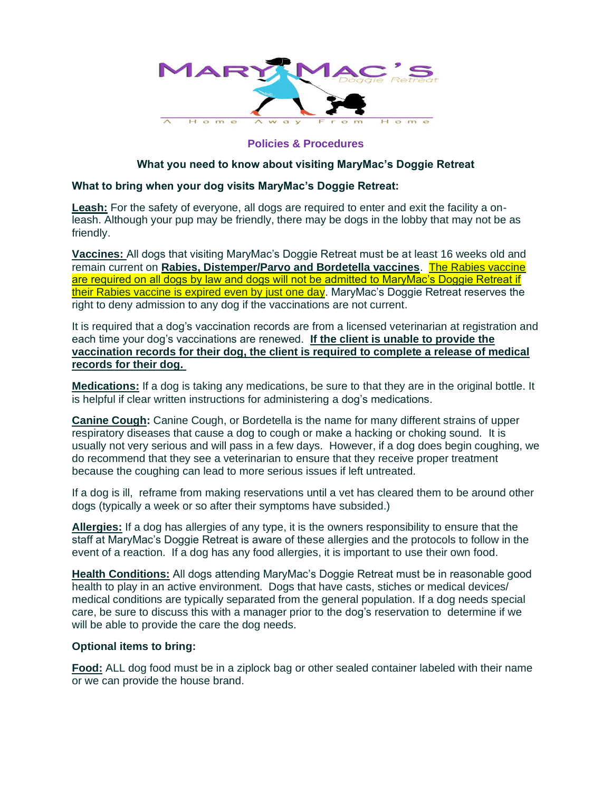

## **Policies & Procedures**

## **What you need to know about visiting MaryMac's Doggie Retreat**

## **What to bring when your dog visits MaryMac's Doggie Retreat:**

**Leash:** For the safety of everyone, all dogs are required to enter and exit the facility a onleash. Although your pup may be friendly, there may be dogs in the lobby that may not be as friendly.

**Vaccines:** All dogs that visiting MaryMac's Doggie Retreat must be at least 16 weeks old and remain current on **Rabies, Distemper/Parvo and Bordetella vaccines**. The Rabies vaccine are required on all dogs by law and dogs will not be admitted to MaryMac's Doggie Retreat if their Rabies vaccine is expired even by just one day. MaryMac's Doggie Retreat reserves the right to deny admission to any dog if the vaccinations are not current.

It is required that a dog's vaccination records are from a licensed veterinarian at registration and each time your dog's vaccinations are renewed. **If the client is unable to provide the vaccination records for their dog, the client is required to complete a release of medical records for their dog.** 

**Medications:** If a dog is taking any medications, be sure to that they are in the original bottle. It is helpful if clear written instructions for administering a dog's medications.

**Canine Cough:** Canine Cough, or Bordetella is the name for many different strains of upper respiratory diseases that cause a dog to cough or make a hacking or choking sound. It is usually not very serious and will pass in a few days. However, if a dog does begin coughing, we do recommend that they see a veterinarian to ensure that they receive proper treatment because the coughing can lead to more serious issues if left untreated.

If a dog is ill, reframe from making reservations until a vet has cleared them to be around other dogs (typically a week or so after their symptoms have subsided.)

**Allergies:** If a dog has allergies of any type, it is the owners responsibility to ensure that the staff at MaryMac's Doggie Retreat is aware of these allergies and the protocols to follow in the event of a reaction. If a dog has any food allergies, it is important to use their own food.

**Health Conditions:** All dogs attending MaryMac's Doggie Retreat must be in reasonable good health to play in an active environment. Dogs that have casts, stiches or medical devices/ medical conditions are typically separated from the general population. If a dog needs special care, be sure to discuss this with a manager prior to the dog's reservation to determine if we will be able to provide the care the dog needs.

## **Optional items to bring:**

**Food:** ALL dog food must be in a ziplock bag or other sealed container labeled with their name or we can provide the house brand.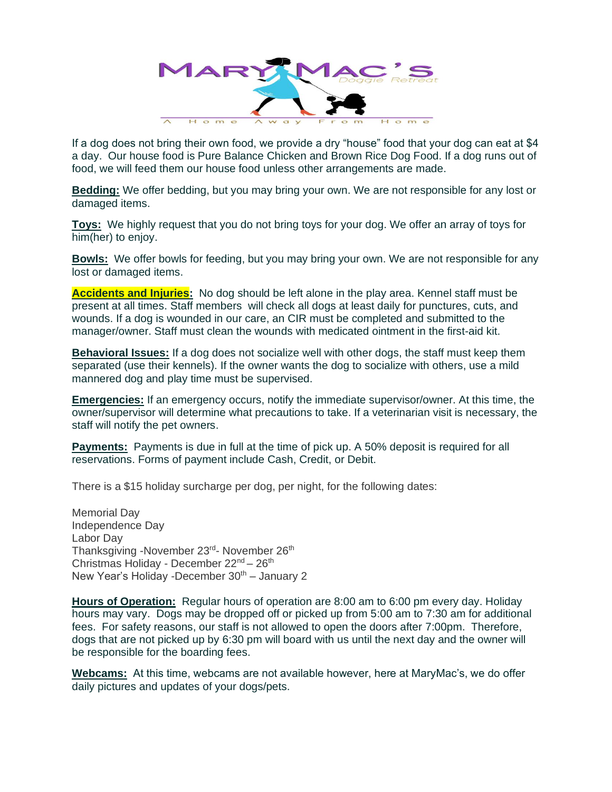

If a dog does not bring their own food, we provide a dry "house" food that your dog can eat at \$4 a day. Our house food is Pure Balance Chicken and Brown Rice Dog Food. If a dog runs out of food, we will feed them our house food unless other arrangements are made.

**Bedding:** We offer bedding, but you may bring your own. We are not responsible for any lost or damaged items.

**Toys:** We highly request that you do not bring toys for your dog. We offer an array of toys for him(her) to enjoy.

**Bowls:** We offer bowls for feeding, but you may bring your own. We are not responsible for any lost or damaged items.

**Accidents and Injuries:** No dog should be left alone in the play area. Kennel staff must be present at all times. Staff members will check all dogs at least daily for punctures, cuts, and wounds. If a dog is wounded in our care, an CIR must be completed and submitted to the manager/owner. Staff must clean the wounds with medicated ointment in the first-aid kit.

**Behavioral Issues:** If a dog does not socialize well with other dogs, the staff must keep them separated (use their kennels). If the owner wants the dog to socialize with others, use a mild mannered dog and play time must be supervised.

**Emergencies:** If an emergency occurs, notify the immediate supervisor/owner. At this time, the owner/supervisor will determine what precautions to take. If a veterinarian visit is necessary, the staff will notify the pet owners.

**Payments:** Payments is due in full at the time of pick up. A 50% deposit is required for all reservations. Forms of payment include Cash, Credit, or Debit.

There is a \$15 holiday surcharge per dog, per night, for the following dates:

Memorial Day Independence Day Labor Day Thanksgiving -November 23<sup>rd</sup>- November 26<sup>th</sup> Christmas Holiday - December 22<sup>nd</sup> - 26<sup>th</sup> New Year's Holiday -December  $30<sup>th</sup>$  – January 2

**Hours of Operation:** Regular hours of operation are 8:00 am to 6:00 pm every day. Holiday hours may vary. Dogs may be dropped off or picked up from 5:00 am to 7:30 am for additional fees. For safety reasons, our staff is not allowed to open the doors after 7:00pm. Therefore, dogs that are not picked up by 6:30 pm will board with us until the next day and the owner will be responsible for the boarding fees.

**Webcams:** At this time, webcams are not available however, here at MaryMac's, we do offer daily pictures and updates of your dogs/pets.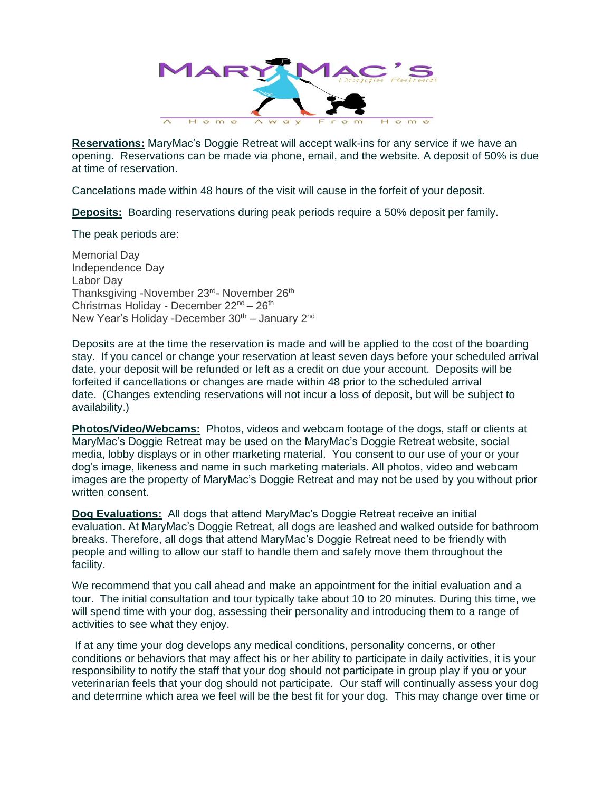

**Reservations:** MaryMac's Doggie Retreat will accept walk-ins for any service if we have an opening. Reservations can be made via phone, email, and the website. A deposit of 50% is due at time of reservation.

Cancelations made within 48 hours of the visit will cause in the forfeit of your deposit.

**Deposits:** Boarding reservations during peak periods require a 50% deposit per family.

The peak periods are:

Memorial Day Independence Day Labor Day Thanksgiving -November 23<sup>rd</sup>- November 26<sup>th</sup> Christmas Holiday - December 22nd – 26th New Year's Holiday -December  $30<sup>th</sup>$  – January  $2<sup>nd</sup>$ 

Deposits are at the time the reservation is made and will be applied to the cost of the boarding stay. If you cancel or change your reservation at least seven days before your scheduled arrival date, your deposit will be refunded or left as a credit on due your account. Deposits will be forfeited if cancellations or changes are made within 48 prior to the scheduled arrival date. (Changes extending reservations will not incur a loss of deposit, but will be subject to availability.)

**Photos/Video/Webcams:** Photos, videos and webcam footage of the dogs, staff or clients at MaryMac's Doggie Retreat may be used on the MaryMac's Doggie Retreat website, social media, lobby displays or in other marketing material. You consent to our use of your or your dog's image, likeness and name in such marketing materials. All photos, video and webcam images are the property of MaryMac's Doggie Retreat and may not be used by you without prior written consent.

**Dog Evaluations:** All dogs that attend MaryMac's Doggie Retreat receive an initial evaluation. At MaryMac's Doggie Retreat, all dogs are leashed and walked outside for bathroom breaks. Therefore, all dogs that attend MaryMac's Doggie Retreat need to be friendly with people and willing to allow our staff to handle them and safely move them throughout the facility.

We recommend that you call ahead and make an appointment for the initial evaluation and a tour. The initial consultation and tour typically take about 10 to 20 minutes. During this time, we will spend time with your dog, assessing their personality and introducing them to a range of activities to see what they enjoy.

If at any time your dog develops any medical conditions, personality concerns, or other conditions or behaviors that may affect his or her ability to participate in daily activities, it is your responsibility to notify the staff that your dog should not participate in group play if you or your veterinarian feels that your dog should not participate. Our staff will continually assess your dog and determine which area we feel will be the best fit for your dog. This may change over time or